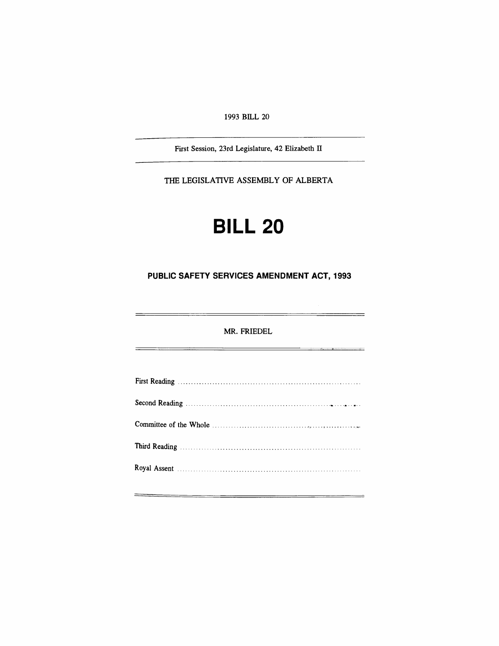1993 BILL 20

First Session, 23rd Legislature, 42 Elizabeth IT

THE LEGISLATIVE ASSEMBLY OF ALBERTA

# **BILL 20**

### **PUBLIC SAFETY SERVICES AMENDMENT ACT, 1993**

MR. FRIEDEL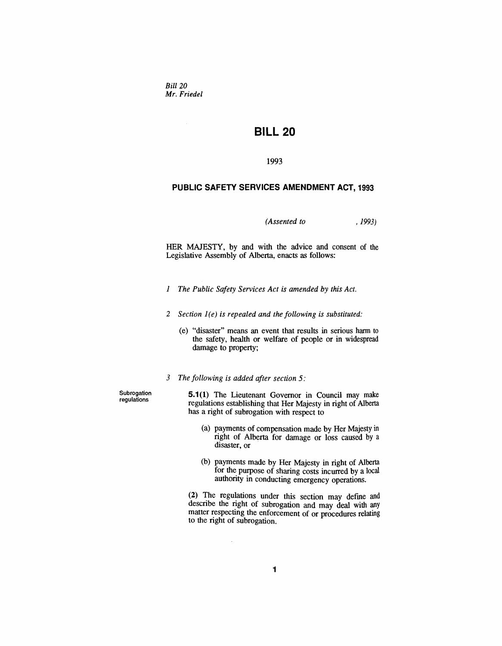*Bill 20 Mr. Friedel*

## **BILL 20**

#### 1993

#### **PUBLIC SAFETY SERVICES AMENDMENT ACT, 1993**

*(Assented to* , 1993)

HER MAJESTY, by and with the advice and consent of the Legislative Assembly of Alberta, enacts as follows:

- *1 The Public Safety Services Act is amended by this Act.*
- *2 Section* 1*(e) is repealed and the following is substituted:*
	- (e) "disaster" means an event that results in serious harm to the safety, health or welfare of people or in widespread damage to property;
- *3 The following is added after section* 5:

 $\mathcal{L}_{\mathcal{L}}$ 

Subrogation regulations

**5.1**(1) The Lieutenant Governor in Council may make regulations establishing that Her Majesty in right of Alberta has a right of subrogation with respect to

- (a) payments of compensation made by Her Majesty in right of Alberta for damage or loss caused by a disaster, or
- (b) payments made by Her Majesty in right of Alberta for the purpose of sharing costs incurred by a local authority in conducting emergency operations.

(2) The regulations under this section may define and describe the right of subrogation and may deal with any matter respecting the enforcement of or procedures relating to the right of subrogation.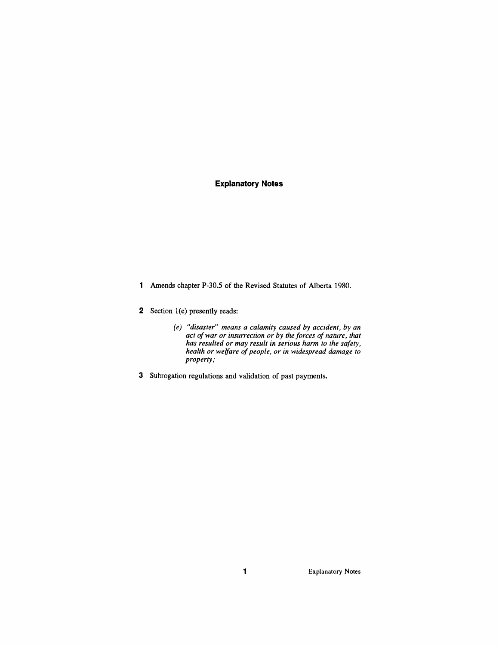#### **Explanatory Notes**

- 1 Amends chapter P-30.5 of the Revised Statutes of Alberta 1980.
- 2 Section l(e) presently reads:
	- *(e) "disaster" means a calamity caused by accident, by an act ofwar or insurrection or by the forces of nature, that has resulted or may result in serious harm to the safety, health or welfare of people, or in widespread damage to property;*
- 3 Subrogation regulations and validation of past payments.